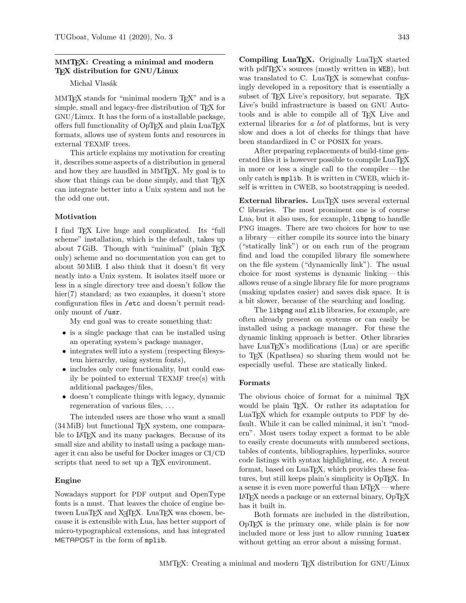# MMTEX: Creating a minimal and modern TEX distribution for GNU/Linux

Michal Vlasák

MMT<sub>EX</sub> stands for "minimal modern T<sub>EX</sub>" and is a simple, small and legacy-free distribution of T<sub>E</sub>X for GNU/Linux. It has the form of a installable package, offers full functionality of OpTEX and plain LuaTEX formats, allows use of system fonts and resources in external TEXMF trees.

This article explains my motivation for creating it, describes some aspects of a distribution in general and how they are handled in MMTEX. My goal is to show that things can be done simply, and that T<sub>E</sub>X can integrate better into a Unix system and not be the odd one out.

## Motivation

I find TEX Live huge and complicated. Its "full scheme" installation, which is the default, takes up about 7 GiB. Though with "minimal" (plain TFX only) scheme and no documentation you can get to about 50 MiB. I also think that it doesn't fit very neatly into a Unix system. It isolates itself more or less in a single directory tree and doesn't follow the hier(7) standard; as two examples, it doesn't store configuration files in /etc and doesn't permit readonly mount of /usr.

My end goal was to create something that:

- is a single package that can be installed using an operating system's package manager,
- integrates well into a system (respecting filesystem hierarchy, using system fonts),
- includes only core functionality, but could easily be pointed to external TEXMF tree(s) with additional packages/files,
- doesn't complicate things with legacy, dynamic regeneration of various files, . . .

The intended users are those who want a small (34 MiB) but functional TEX system, one comparable to LAT<sub>F</sub>X and its many packages. Because of its small size and ability to install using a package manager it can also be useful for Docker images or CI/CD scripts that need to set up a TEX environment.

## Engine

Nowadays support for PDF output and OpenType fonts is a must. That leaves the choice of engine between  $\text{LuaT}$ <sub>F</sub>X and  $\text{X}$ <sub>T</sub> $\text{F}$ X.  $\text{LuaT}$ <sub>F</sub>X was chosen, because it is extensible with Lua, has better support of micro-typographical extensions, and has integrated METAPOST in the form of mplib.

Compiling LuaT<sub>EX</sub>. Originally LuaT<sub>EX</sub> started with pdfT<sub>E</sub>X's sources (mostly written in WEB), but was translated to C. LuaT<sub>FX</sub> is somewhat confusingly developed in a repository that is essentially a subset of T<sub>F</sub>X Live's repository, but separate. T<sub>F</sub>X Live's build infrastructure is based on GNU Autotools and is able to compile all of TEX Live and external libraries for a *lot* of platforms, but is very slow and does a lot of checks for things that have been standardized in C or POSIX for years.

After preparing replacements of build-time generated files it is however possible to compile LuaTEX in more or less a single call to the compiler— the only catch is mplib. It is written in CWEB, which itself is written in CWEB, so bootstrapping is needed.

External libraries. LuaTFX uses several external C libraries. The most prominent one is of course Lua, but it also uses, for example, libpng to handle PNG images. There are two choices for how to use a library— either compile its source into the binary ("statically link") or on each run of the program find and load the compiled library file somewhere on the file system ("dynamically link"). The usual choice for most systems is dynamic linking — this allows reuse of a single library file for more programs (making updates easier) and saves disk space. It is a bit slower, because of the searching and loading.

The libpng and zlib libraries, for example, are often already present on systems or can easily be installed using a package manager. For these the dynamic linking approach is better. Other libraries have  $LuaT<sub>F</sub>X's$  modifications (Lua) or are specific to TEX (Kpathsea) so sharing them would not be especially useful. These are statically linked.

### Formats

The obvious choice of format for a minimal TEX would be plain TEX. Or rather its adaptation for LuaTEX which for example outputs to PDF by default. While it can be called minimal, it isn't "modern". Most users today expect a format to be able to easily create documents with numbered sections, tables of contents, bibliographies, hyperlinks, source code listings with syntax highlighting, etc. A recent format, based on LuaT<sub>E</sub>X, which provides these features, but still keeps plain's simplicity is OpT<sub>EX</sub>. In a sense it is even more powerful than LAT<sub>EX</sub> — where  $LATFX$  needs a package or an external binary,  $OpTFX$ has it built in.

Both formats are included in the distribution, OpTEX is the primary one, while plain is for now included more or less just to allow running luatex without getting an error about a missing format.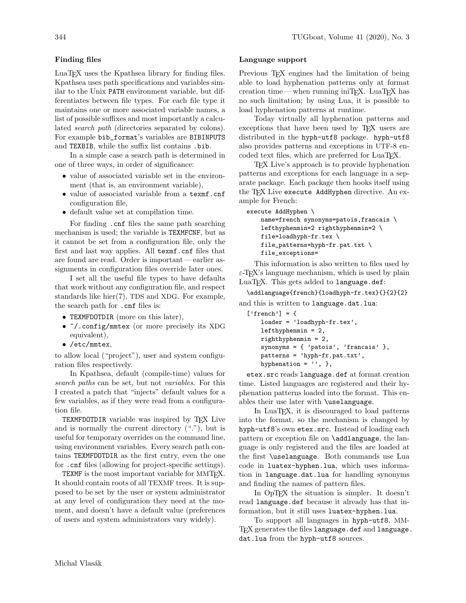## Finding files

LuaTEX uses the Kpathsea library for finding files. Kpathsea uses path specifications and variables similar to the Unix PATH environment variable, but differentiates between file types. For each file type it maintains one or more associated variable names, a list of possible suffixes and most importantly a calculated search path (directories separated by colons). For example bib\_format's variables are BIBINPUTS and TEXBIB, while the suffix list contains .bib.

In a simple case a search path is determined in one of three ways, in order of significance:

- value of associated variable set in the environment (that is, an environment variable),
- value of associated variable from a texmf.cnf configuration file,
- default value set at compilation time.

For finding .cnf files the same path searching mechanism is used; the variable is TEXMFCNF, but as it cannot be set from a configuration file, only the first and last way applies. All texmf.cnf files that are found are read. Order is important— earlier assignments in configuration files override later ones.

I set all the useful file types to have defaults that work without any configuration file, and respect standards like hier(7), TDS and XDG. For example, the search path for .cnf files is:

- TEXMFDOTDIR (more on this later),
- ~/.config/mmtex (or more precisely its XDG equivalent),
- /etc/mmtex,

to allow local ("project"), user and system configuration files respectively.

In Kpathsea, default (compile-time) values for search paths can be set, but not variables. For this I created a patch that "injects" default values for a few variables, as if they were read from a configuration file.

TEXMFDOTDIR variable was inspired by TFX Live and is normally the current directory ("."), but is useful for temporary overrides on the command line, using environment variables. Every search path contains TEXMFDOTDIR as the first entry, even the one for .cnf files (allowing for project-specific settings).

TEXMF is the most important variable for MMT<sub>E</sub>X. It should contain roots of all TEXMF trees. It is supposed to be set by the user or system administrator at any level of configuration they need at the moment, and doesn't have a default value (preferences of users and system administrators vary widely).

### Language support

Previous T<sub>E</sub>X engines had the limitation of being able to load hyphenation patterns only at format creation time— when running iniTEX. LuaTEX has no such limitation; by using Lua, it is possible to load hyphenation patterns at runtime.

Today virtually all hyphenation patterns and exceptions that have been used by T<sub>E</sub>X users are distributed in the hyph-utf8 package. hyph-utf8 also provides patterns and exceptions in UTF-8 encoded text files, which are preferred for LuaTEX.

TEX Live's approach is to provide hyphenation patterns and exceptions for each language in a separate package. Each package then hooks itself using the TFX Live execute AddHyphen directive. An example for French:

```
execute AddHyphen \
name=french synonyms=patois,francais \
 lefthyphenmin=2 righthyphenmin=2 \
 file=loadhyph-fr.tex \
 file_patterns=hyph-fr.pat.txt \
file_exceptions=
```
This information is also written to files used by  $\varepsilon$ -T<sub>E</sub>X's language mechanism, which is used by plain LuaT<sub>F</sub>X. This gets added to language.def:

# \addlanguage{french}{loadhyph-fr.tex}{}{2}{2} and this is written to language.dat.lua:

```
['french'] = {loader = 'loadhyph-fr.tex',
lefthyphenmin = 2,
righthyphenmin = 2,
synonyms = { 'patois', 'francais' },
patterns = 'hyph-fr.pat.txt',
hyphenation = ', },
```
etex.src reads language.def at format creation time. Listed languages are registered and their hyphenation patterns loaded into the format. This enables their use later with \uselanguage.

In LuaTEX, it is discouraged to load patterns into the format, so the mechanism is changed by hyph-utf8's own etex.src. Instead of loading each pattern or exception file on **\addlanguage**, the language is only registered and the files are loaded at the first \uselanguage. Both commands use Lua code in luatex-hyphen.lua, which uses information in language.dat.lua for handling synonyms and finding the names of pattern files.

In OpT<sub>F</sub>X the situation is simpler. It doesn't read language.def because it already has that information, but it still uses luatex-hyphen.lua.

To support all languages in hyph-utf8, MM-TFX generates the files language.def and language. dat.lua from the hyph-utf8 sources.